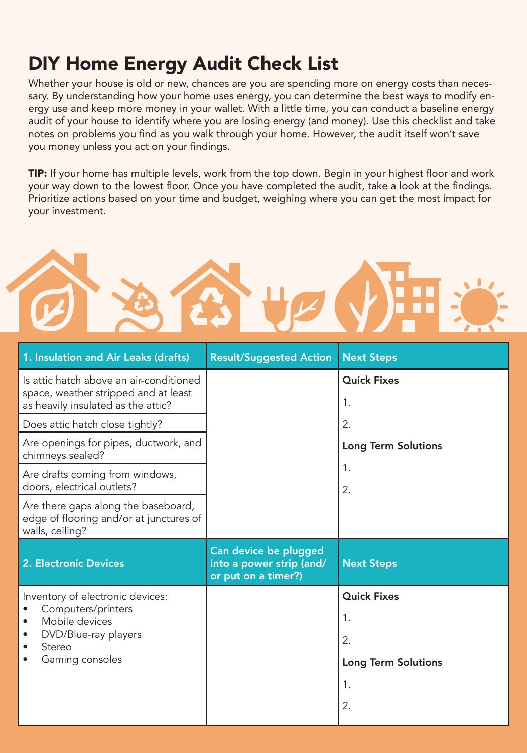## DIY Home Energy Audit Check List

Whether your house is old or new, chances are you are spending more on energy costs than necessary. By understanding how your home uses energy, you can determine the best ways to modify energy use and keep more money in your wallet. With a little time, you can conduct a baseline energy audit of your house to identify where you are losing energy (and money). Use this checklist and take notes on problems you find as you walk through your home. However, the audit itself won't save you money unless you act on your findings.

TIP: If your home has multiple levels, work from the top down. Begin in your highest floor and work your way down to the lowest floor. Once you have completed the audit, take a look at the findings. Prioritize actions based on your time and budget, weighing where you can get the most impact for your investment.



| <b>Result/Suggested Action</b>                                           | <b>Next Steps</b>          |
|--------------------------------------------------------------------------|----------------------------|
|                                                                          | <b>Quick Fixes</b><br>1.   |
|                                                                          | 2.                         |
|                                                                          | <b>Long Term Solutions</b> |
|                                                                          | 1.<br>2.                   |
|                                                                          |                            |
| Can device be plugged<br>into a power strip (and/<br>or put on a timer?) | <b>Next Steps</b>          |
|                                                                          | <b>Quick Fixes</b>         |
|                                                                          | 1.                         |
|                                                                          | 2.                         |
|                                                                          | <b>Long Term Solutions</b> |
|                                                                          | 1.                         |
|                                                                          |                            |
|                                                                          |                            |